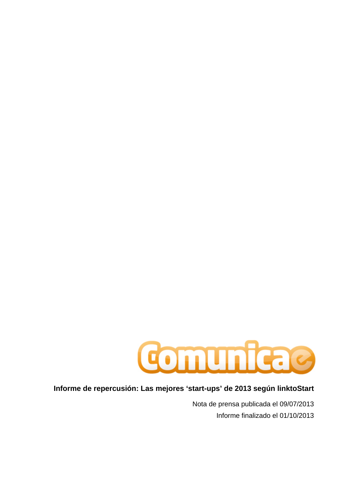

## **Informe de repercusión: Las mejores 'start-ups' de 2013 según linktoStart**

Nota de prensa publicada el 09/07/2013 Informe finalizado el 01/10/2013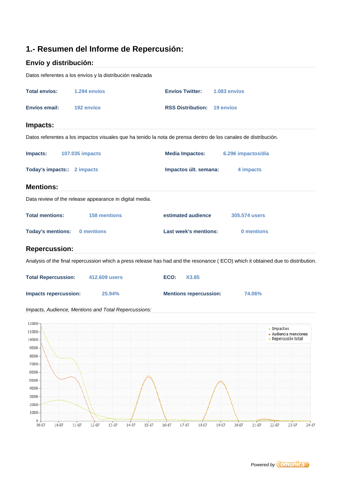# **1.- Resumen del Informe de Repercusión:**

# **Envío y distribución:**

| Datos referentes a los envíos y la distribución realizada                                                                       |                                              |                                                            |
|---------------------------------------------------------------------------------------------------------------------------------|----------------------------------------------|------------------------------------------------------------|
| <b>Total envíos:</b><br>1.294 envíos                                                                                            | <b>Envíos Twitter:</b><br>1.083 envíos       |                                                            |
| Envíos email:<br>192 envíos                                                                                                     | <b>RSS Distribution: 19 envios</b>           |                                                            |
| Impacts:                                                                                                                        |                                              |                                                            |
| Datos referentes a los impactos visuales que ha tenido la nota de prensa dentro de los canales de distribución.                 |                                              |                                                            |
| Impacts:<br>107.035 impacts                                                                                                     | <b>Media Impactos:</b><br>6.296 impactos/día |                                                            |
| Today's impacts:: 2 impacts                                                                                                     | Impactos últ. semana:<br>4 impacts           |                                                            |
| <b>Mentions:</b>                                                                                                                |                                              |                                                            |
| Data review of the release appearance in digital media.                                                                         |                                              |                                                            |
| <b>Total mentions:</b><br>158 mentions                                                                                          | estimated audience<br>305.574 users          |                                                            |
| <b>Today's mentions:</b><br>0 mentions                                                                                          | <b>Last week's mentions:</b><br>0 mentions   |                                                            |
| <b>Repercussion:</b>                                                                                                            |                                              |                                                            |
| Analysis of the final repercussion which a press release has had and the resonance (ECO) which it obtained due to distribution. |                                              |                                                            |
| <b>Total Repercussion:</b><br>412.609 users                                                                                     | ECO:<br>X3.85                                |                                                            |
| <b>Impacts repercussion:</b><br>25.94%                                                                                          | <b>Mentions repercussion:</b><br>74.06%      |                                                            |
| Impacts, Audience, Mentions and Total Repercussions:                                                                            |                                              |                                                            |
| $120000 -$<br>110000<br>100000<br>90000<br>80000<br>70000<br>60000<br>50000<br>40000<br>30000<br>20000<br>10000                 |                                              | - Impactos<br>- Audiencia menciones<br>- Repercusión total |
| $0 +$                                                                                                                           |                                              |                                                            |

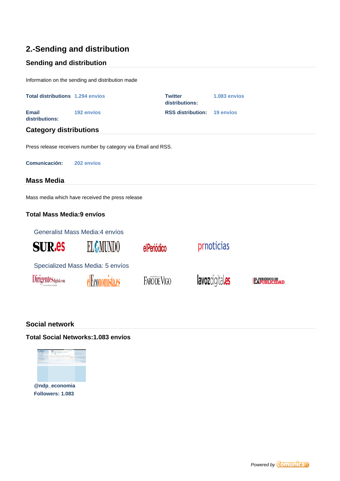# **2.-Sending and distribution**

## **Sending and distribution**

Information on the sending and distribution made

| <b>Total distributions 1.294 envios</b> |                                                               | <b>Twitter</b><br>distributions: | 1.083 envíos |                                     |
|-----------------------------------------|---------------------------------------------------------------|----------------------------------|--------------|-------------------------------------|
| <b>Email</b><br>distributions:          | 192 envíos                                                    | <b>RSS distribution:</b>         | 19 envíos    |                                     |
| <b>Category distributions</b>           |                                                               |                                  |              |                                     |
|                                         | Press release receivers number by category via Email and RSS. |                                  |              |                                     |
| Comunicación:                           | 202 envíos                                                    |                                  |              |                                     |
| <b>Mass Media</b>                       |                                                               |                                  |              |                                     |
|                                         | Mass media which have received the press release              |                                  |              |                                     |
| <b>Total Mass Media:9 envíos</b>        |                                                               |                                  |              |                                     |
|                                         | Generalist Mass Media: 4 envíos                               |                                  |              |                                     |
| <b>SUR.es</b>                           | EL MUNDO                                                      | elPeriódico                      | prnoticias   |                                     |
|                                         | Specialized Mass Media: 5 envíos                              |                                  |              |                                     |
| U Sdigital.com                          |                                                               | FARODE VIGO                      |              | EL PERIÓDICO DE<br>17 A DITRIJCIDAD |

### **Social network**

#### **Total Social Networks:1.083 envíos**



**[Followers: 1.083](http://twitter.com/ndp_economia/statuses/354523462586478594)**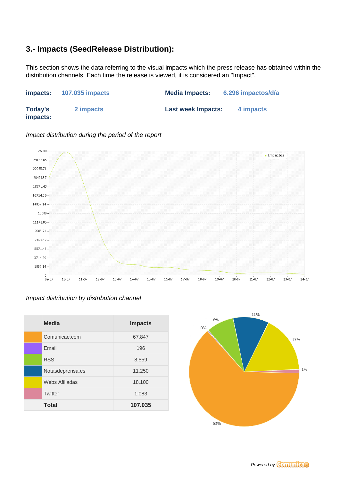## **3.- Impacts (SeedRelease Distribution):**

This section shows the data referring to the visual impacts which the press release has obtained within the distribution channels. Each time the release is viewed, it is considered an "Impact".

| impacts:                   | <b>107.035 impacts</b> | <b>Media Impacts:</b>     | 6.296 impactos/día |
|----------------------------|------------------------|---------------------------|--------------------|
| <b>Today's</b><br>impacts: | 2 impacts              | <b>Last week Impacts:</b> | 4 impacts          |



Impact distribution during the period of the report

### Impact distribution by distribution channel

| <b>Media</b>     | <b>Impacts</b> |
|------------------|----------------|
| Comunicae.com    | 67.847         |
| Email            | 196            |
| <b>RSS</b>       | 8.559          |
| Notasdeprensa.es | 11.250         |
| Webs Afiliadas   | 18.100         |
| Twitter          | 1.083          |
| <b>Total</b>     | 107.035        |



Powered by **Comunica**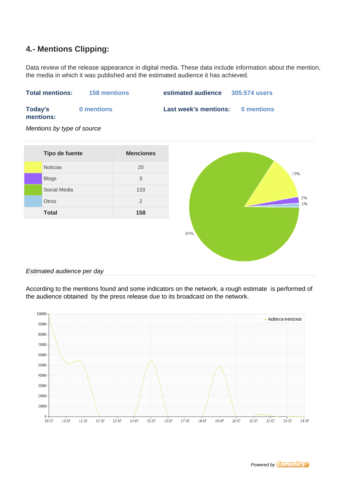### **4.- Mentions Clipping:**

Data review of the release appearance in digital media. These data include information about the mention, the media in which it was published and the estimated audience it has achieved.



Mentions by type of source



#### Estimated audience per day

According to the mentions found and some indicators on the network, a rough estimate is performed of the audience obtained by the press release due to its broadcast on the network.

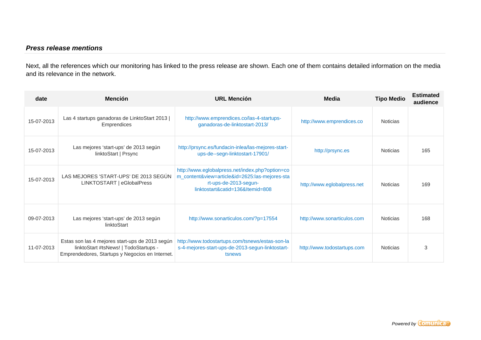### **Press release mentions**

Next, all the references which our monitoring has linked to the press release are shown. Each one of them contains detailed information on the media and its relevance in the network.

| date       | <b>Mención</b>                                                                                                                              | <b>URL Mención</b>                                                                                                                                             | Media                       | <b>Tipo Medio</b> | <b>Estimated</b><br>audience |
|------------|---------------------------------------------------------------------------------------------------------------------------------------------|----------------------------------------------------------------------------------------------------------------------------------------------------------------|-----------------------------|-------------------|------------------------------|
| 15-07-2013 | Las 4 startups ganadoras de LinktoStart 2013  <br><b>Emprendices</b>                                                                        | http://www.emprendices.co/las-4-startups-<br>ganadoras-de-linktostart-2013/                                                                                    | http://www.emprendices.co   | <b>Noticias</b>   |                              |
| 15-07-2013 | Las mejores 'start-ups' de 2013 según<br>linktoStart   Prsync                                                                               | http://prsync.es/fundacin-inlea/las-mejores-start-<br>ups-de--segn-linktostart-17901/                                                                          | http://prsync.es            | Noticias          | 165                          |
| 15-07-2013 | LAS MEJORES 'START-UPS' DE 2013 SEGÚN<br>LINKTOSTART   eGlobalPress                                                                         | http://www.eglobalpress.net/index.php?option=co<br>m_content&view=article&id=2625:las-mejores-sta<br>rt-ups-de-2013-segun-<br>linktostart&catid=136&Itemid=808 | http://www.eglobalpress.net | <b>Noticias</b>   | 169                          |
| 09-07-2013 | Las mejores 'start-ups' de 2013 según<br>linktoStart                                                                                        | http://www.sonarticulos.com/?p=17554                                                                                                                           | http://www.sonarticulos.com | <b>Noticias</b>   | 168                          |
| 11-07-2013 | Estas son las 4 mejores start-ups de 2013 según<br>linktoStart #tsNews!   TodoStartups -<br>Emprendedores, Startups y Negocios en Internet. | http://www.todostartups.com/tsnews/estas-son-la<br>s-4-mejores-start-ups-de-2013-segun-linktostart-<br>tsnews                                                  | http://www.todostartups.com | <b>Noticias</b>   | 3                            |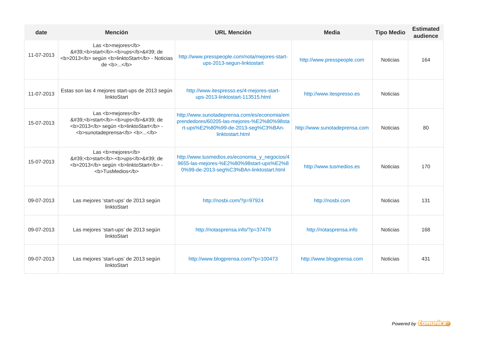| date       | <b>Mención</b>                                                                                                                         | <b>URL Mención</b>                                                                                                                                    | <b>Media</b>                  | <b>Tipo Medio</b> | <b>Estimated</b><br>audience |
|------------|----------------------------------------------------------------------------------------------------------------------------------------|-------------------------------------------------------------------------------------------------------------------------------------------------------|-------------------------------|-------------------|------------------------------|
| 11-07-2013 | Las <b>mejores</b><br>' <b>start</b> - <b>ups</b> ' de<br><b>2013</b> según <b>linktoStart</b> - Noticias<br>de <b>b</b> >  < <b>b</b> | http://www.presspeople.com/nota/mejores-start-<br>ups-2013-segun-linktostart                                                                          | http://www.presspeople.com    | <b>Noticias</b>   | 164                          |
| 11-07-2013 | Estas son las 4 mejores start-ups de 2013 según<br>linktoStart                                                                         | http://www.itespresso.es/4-mejores-start-<br>ups-2013-linktostart-113515.html                                                                         | http://www.itespresso.es      | <b>Noticias</b>   |                              |
| 15-07-2013 | Las <b>mejores</b><br>' <b>start</b> - <b>ups</b> ' de<br><b>2013</b> según <b>linktoStart</b> -<br><b>sunotadeprensa </b>             | http://www.sunotadeprensa.com/es/economia/em<br>prendedores/60205-las-mejores-%E2%80%98sta<br>rt-ups%E2%80%99-de-2013-seg%C3%BAn-<br>linktostart.html | http://www.sunotadeprensa.com | <b>Noticias</b>   | 80                           |
| 15-07-2013 | Las <b>mejores</b><br>' <b>start</b> - <b>ups</b> ' de<br><b>2013</b> según <b>linktoStart</b> -<br><b>TusMedios</b>                   | http://www.tusmedios.es/economia_y_negocios/4<br>9655-las-mejores-%E2%80%98start-ups%E2%8<br>0%99-de-2013-seg%C3%BAn-linktostart.html                 | http://www.tusmedios.es       | Noticias          | 170                          |
| 09-07-2013 | Las mejores 'start-ups' de 2013 según<br>linktoStart                                                                                   | http://nosbi.com/?p=97924                                                                                                                             | http://nosbi.com              | <b>Noticias</b>   | 131                          |
| 09-07-2013 | Las mejores 'start-ups' de 2013 según<br>linktoStart                                                                                   | http://notasprensa.info/?p=37479                                                                                                                      | http://notasprensa.info       | <b>Noticias</b>   | 168                          |
| 09-07-2013 | Las mejores 'start-ups' de 2013 según<br>linktoStart                                                                                   | http://www.blogprensa.com/?p=100473                                                                                                                   | http://www.blogprensa.com     | <b>Noticias</b>   | 431                          |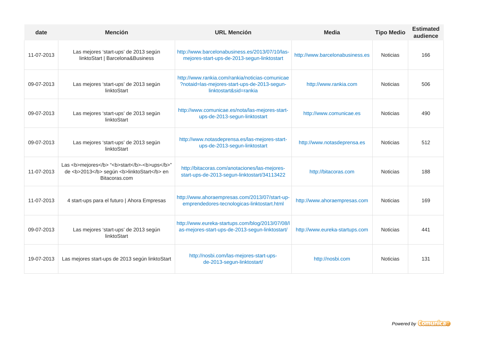| date       | <b>Mención</b>                                                                                                  | <b>URL Mención</b>                                                                                                        | <b>Media</b>                    | <b>Tipo Medio</b> | <b>Estimated</b><br>audience |
|------------|-----------------------------------------------------------------------------------------------------------------|---------------------------------------------------------------------------------------------------------------------------|---------------------------------|-------------------|------------------------------|
| 11-07-2013 | Las mejores 'start-ups' de 2013 según<br>linktoStart   Barcelona&Business                                       | http://www.barcelonabusiness.es/2013/07/10/las-<br>mejores-start-ups-de-2013-segun-linktostart                            | http://www.barcelonabusiness.es | <b>Noticias</b>   | 166                          |
| 09-07-2013 | Las mejores 'start-ups' de 2013 según<br>linktoStart                                                            | http://www.rankia.com/rankia/noticias-comunicae<br>?notaid=las-mejores-start-ups-de-2013-segun-<br>linktostart&sid=rankia | http://www.rankia.com           | <b>Noticias</b>   | 506                          |
| 09-07-2013 | Las mejores 'start-ups' de 2013 según<br>linktoStart                                                            | http://www.comunicae.es/nota/las-mejores-start-<br>ups-de-2013-segun-linktostart                                          | http://www.comunicae.es         | <b>Noticias</b>   | 490                          |
| 09-07-2013 | Las mejores 'start-ups' de 2013 según<br>linktoStart                                                            | http://www.notasdeprensa.es/las-mejores-start-<br>ups-de-2013-segun-linktostart                                           | http://www.notasdeprensa.es     | <b>Noticias</b>   | 512                          |
| 11-07-2013 | Las <b>mejores</b> " <b>start</b> - <b>ups</b> "<br>de <b>2013</b> según <b>linktoStart</b> en<br>Bitacoras.com | http://bitacoras.com/anotaciones/las-mejores-<br>start-ups-de-2013-segun-linktostart/34113422                             | http://bitacoras.com            | <b>Noticias</b>   | 188                          |
| 11-07-2013 | 4 start-ups para el futuro   Ahora Empresas                                                                     | http://www.ahoraempresas.com/2013/07/start-up-<br>emprendedores-tecnologicas-linktostart.html                             | http://www.ahoraempresas.com    | <b>Noticias</b>   | 169                          |
| 09-07-2013 | Las mejores 'start-ups' de 2013 según<br>linktoStart                                                            | http://www.eureka-startups.com/blog/2013/07/08/l<br>as-mejores-start-ups-de-2013-segun-linktostart/                       | http://www.eureka-startups.com  | <b>Noticias</b>   | 441                          |
| 19-07-2013 | Las mejores start-ups de 2013 según linktoStart                                                                 | http://nosbi.com/las-mejores-start-ups-<br>de-2013-segun-linktostart/                                                     | http://nosbi.com                | <b>Noticias</b>   | 131                          |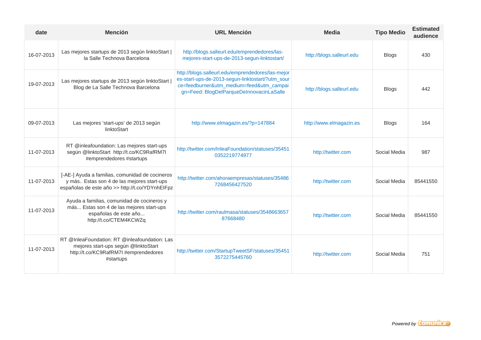| date       | <b>Mención</b>                                                                                                                                   | <b>URL Mención</b>                                                                                                                                                                            | <b>Media</b>              | <b>Tipo Medio</b> | <b>Estimated</b><br>audience |
|------------|--------------------------------------------------------------------------------------------------------------------------------------------------|-----------------------------------------------------------------------------------------------------------------------------------------------------------------------------------------------|---------------------------|-------------------|------------------------------|
| 16-07-2013 | Las mejores startups de 2013 según linktoStart  <br>la Salle Technova Barcelona                                                                  | http://blogs.salleurl.edu/emprendedores/las-<br>mejores-start-ups-de-2013-segun-linktostart/                                                                                                  | http://blogs.salleurl.edu | <b>Blogs</b>      | 430                          |
| 19-07-2013 | Las mejores startups de 2013 según linktoStart<br>Blog de La Salle Technova Barcelona                                                            | http://blogs.salleurl.edu/emprendedores/las-mejor<br>es-start-ups-de-2013-segun-linktostart/?utm_sour<br>ce=feedburner&utm_medium=feed&utm_campai<br>gn=Feed: BlogDelParqueDeInnovacinLaSalle | http://blogs.salleurl.edu | <b>Blogs</b>      | 442                          |
| 09-07-2013 | Las mejores 'start-ups' de 2013 según<br>linktoStart                                                                                             | http://www.elmagazin.es/?p=147884                                                                                                                                                             | http://www.elmagazin.es   | <b>Blogs</b>      | 164                          |
| 11-07-2013 | RT @inleafoundation: Las mejores start-ups<br>según @linktoStart http://t.co/KC9RafRM7I<br>#emprendedores #startups                              | http://twitter.com/InleaFoundation/statuses/35451<br>0352219774977                                                                                                                            | http://twitter.com        | Social Media      | 987                          |
| 11-07-2013 | [-AE-] Ayuda a familias, comunidad de cocineros<br>y más Estas son 4 de las mejores start-ups<br>españolas de este año >> http://t.co/YDYnhEIFpz | http://twitter.com/ahoraempresas/statuses/35486<br>7268456427520                                                                                                                              | http://twitter.com        | Social Media      | 85441550                     |
| 11-07-2013 | Ayuda a familias, comunidad de cocineros y<br>más Estas son 4 de las mejores start-ups<br>españolas de este año<br>http://t.co/CTEM4KCWZq        | http://twitter.com/raulmasa/statuses/3548663657<br>87668480                                                                                                                                   | http://twitter.com        | Social Media      | 85441550                     |
| 11-07-2013 | RT @InleaFoundation: RT @inleafoundation: Las<br>mejores start-ups según @linktoStart<br>http://t.co/KC9RafRM7I #emprendedores<br>#startups      | http://twitter.com/StartupTweetSF/statuses/35451<br>3572275445760                                                                                                                             | http://twitter.com        | Social Media      | 751                          |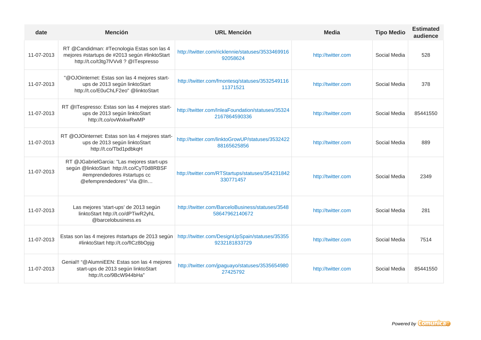| date       | <b>Mención</b>                                                                                                                                      | <b>URL Mención</b>                                                 | <b>Media</b>       | <b>Tipo Medio</b> | <b>Estimated</b><br>audience |
|------------|-----------------------------------------------------------------------------------------------------------------------------------------------------|--------------------------------------------------------------------|--------------------|-------------------|------------------------------|
| 11-07-2013 | RT @Candidman: #Tecnologia Estas son las 4<br>mejores #startups de #2013 según #linktoStart<br>http://t.co/t3tg7lVVv8 ? @ITespresso                 | http://twitter.com/ricklennie/statuses/3533469916<br>92058624      | http://twitter.com | Social Media      | 528                          |
| 11-07-2013 | "@OJOinternet: Estas son las 4 mejores start-<br>ups de 2013 según linktoStart<br>http://t.co/E0uChLF2eo" @linktoStart                              | http://twitter.com/fmontesq/statuses/3532549116<br>11371521        | http://twitter.com | Social Media      | 378                          |
| 11-07-2013 | RT @ITespresso: Estas son las 4 mejores start-<br>ups de 2013 según linktoStart<br>http://t.co/ovWxkwRwMP                                           | http://twitter.com/InleaFoundation/statuses/35324<br>2167864590336 | http://twitter.com | Social Media      | 85441550                     |
| 11-07-2013 | RT @OJOinternet: Estas son las 4 mejores start-<br>ups de 2013 según linktoStart<br>http://t.co/Tbd1pdbkqH                                          | http://twitter.com/linktoGrowUP/statuses/3532422<br>88165625856    | http://twitter.com | Social Media      | 889                          |
| 11-07-2013 | RT @JGabrielGarcia: "Las mejores start-ups<br>según @linktoStart http://t.co/CyT0d8RBSF<br>#emprendedores #startups cc<br>@efemprendedores" Via @In | http://twitter.com/RTStartups/statuses/354231842<br>330771457      | http://twitter.com | Social Media      | 2349                         |
| 11-07-2013 | Las mejores 'start-ups' de 2013 según<br>linktoStart http://t.co/dPTiwR2yhL<br>@barcelobusiness.es                                                  | http://twitter.com/BarceloBusiness/statuses/3548<br>58647962140672 | http://twitter.com | Social Media      | 281                          |
| 11-07-2013 | Estas son las 4 mejores #startups de 2013 según<br>#linktoStart http://t.co/flCz8bOpjg                                                              | http://twitter.com/DesignUpSpain/statuses/35355<br>9232181833729   | http://twitter.com | Social Media      | 7514                         |
| 11-07-2013 | Genial!! "@AlumniEEN: Estas son las 4 mejores<br>start-ups de 2013 según linktoStart<br>http://t.co/9BcW944bHa"                                     | http://twitter.com/jpaguayo/statuses/3535654980<br>27425792        | http://twitter.com | Social Media      | 85441550                     |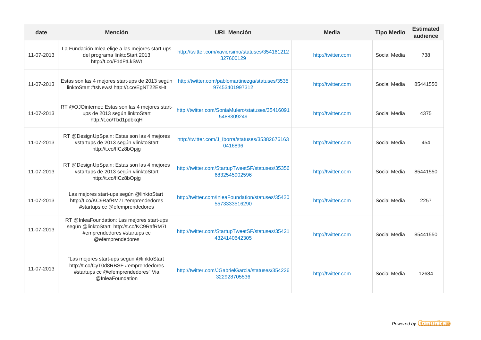| date       | <b>Mención</b>                                                                                                                               | <b>URL Mención</b>                                                 | <b>Media</b>       | <b>Tipo Medio</b> | <b>Estimated</b><br>audience |
|------------|----------------------------------------------------------------------------------------------------------------------------------------------|--------------------------------------------------------------------|--------------------|-------------------|------------------------------|
| 11-07-2013 | La Fundación Inlea elige a las mejores start-ups<br>del programa linktoStart 2013<br>http://t.co/F1dFtLkSWt                                  | http://twitter.com/xaviersimo/statuses/354161212<br>327600129      | http://twitter.com | Social Media      | 738                          |
| 11-07-2013 | Estas son las 4 mejores start-ups de 2013 según<br>linktoStart #tsNews! http://t.co/EgNT22EsHt                                               | http://twitter.com/pablomartinezga/statuses/3535<br>97453401997312 | http://twitter.com | Social Media      | 85441550                     |
| 11-07-2013 | RT @OJOinternet: Estas son las 4 mejores start-<br>ups de 2013 según linktoStart<br>http://t.co/Tbd1pdbkqH                                   | http://twitter.com/SoniaMulero/statuses/35416091<br>5488309249     | http://twitter.com | Social Media      | 4375                         |
| 11-07-2013 | RT @DesignUpSpain: Estas son las 4 mejores<br>#startups de 2013 según #linktoStart<br>http://t.co/flCz8bOpjg                                 | http://twitter.com/J_lborra/statuses/35382676163<br>0416896        | http://twitter.com | Social Media      | 454                          |
| 11-07-2013 | RT @DesignUpSpain: Estas son las 4 mejores<br>#startups de 2013 según #linktoStart<br>http://t.co/flCz8bOpjg                                 | http://twitter.com/StartupTweetSF/statuses/35356<br>6832545902596  | http://twitter.com | Social Media      | 85441550                     |
| 11-07-2013 | Las mejores start-ups según @linktoStart<br>http://t.co/KC9RafRM7I #emprendedores<br>#startups cc @efemprendedores                           | http://twitter.com/InleaFoundation/statuses/35420<br>5573333516290 | http://twitter.com | Social Media      | 2257                         |
| 11-07-2013 | RT @InleaFoundation: Las mejores start-ups<br>según @linktoStart http://t.co/KC9RafRM7I<br>#emprendedores #startups cc<br>@efemprendedores   | http://twitter.com/StartupTweetSF/statuses/35421<br>4324140642305  | http://twitter.com | Social Media      | 85441550                     |
| 11-07-2013 | "Las mejores start-ups según @linktoStart<br>http://t.co/CyT0d8RBSF #emprendedores<br>#startups cc @efemprendedores" Via<br>@InleaFoundation | http://twitter.com/JGabrielGarcia/statuses/354226<br>322928705536  | http://twitter.com | Social Media      | 12684                        |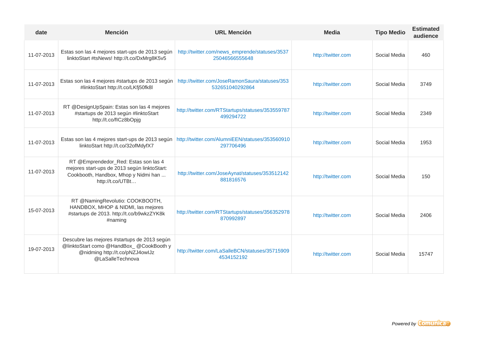| date       | <b>Mención</b>                                                                                                                                   | <b>URL Mención</b>                                                | <b>Media</b>       | <b>Tipo Medio</b> | <b>Estimated</b><br>audience |
|------------|--------------------------------------------------------------------------------------------------------------------------------------------------|-------------------------------------------------------------------|--------------------|-------------------|------------------------------|
| 11-07-2013 | Estas son las 4 mejores start-ups de 2013 según<br>linktoStart #tsNews! http://t.co/DxMrg8K5v5                                                   | http://twitter.com/news_emprende/statuses/3537<br>25046566555648  | http://twitter.com | Social Media      | 460                          |
| 11-07-2013 | Estas son las 4 mejores #startups de 2013 según<br>#linktoStart http://t.co/LKfj50fk8l                                                           | http://twitter.com/JoseRamonSaura/statuses/353<br>532651040292864 | http://twitter.com | Social Media      | 3749                         |
| 11-07-2013 | RT @DesignUpSpain: Estas son las 4 mejores<br>#startups de 2013 según #linktoStart<br>http://t.co/flCz8bOpjg                                     | http://twitter.com/RTStartups/statuses/353559787<br>499294722     | http://twitter.com | Social Media      | 2349                         |
| 11-07-2013 | Estas son las 4 mejores start-ups de 2013 según<br>linktoStart http://t.co/32ofMdyfX7                                                            | http://twitter.com/AlumniEEN/statuses/353560910<br>297706496      | http://twitter.com | Social Media      | 1953                         |
| 11-07-2013 | RT @Emprendedor_Red: Estas son las 4<br>mejores start-ups de 2013 según linktoStart:<br>Cookbooth, Handbox, Mhop y Nidmi han<br>http://t.co/UTBt | http://twitter.com/JoseAynat/statuses/353512142<br>881816576      | http://twitter.com | Social Media      | 150                          |
| 15-07-2013 | RT @NamingRevolutio: COOKBOOTH,<br>HANDBOX, MHOP & NIDMI, las mejores<br>#startups de 2013. http://t.co/b9wkzZYK8k<br>$#$ naming                 | http://twitter.com/RTStartups/statuses/356352978<br>870992897     | http://twitter.com | Social Media      | 2406                         |
| 19-07-2013 | Descubre las mejores #startups de 2013 según<br>@linktoStart como @HandBox_ @CookBooth y<br>@nidming http://t.co/pNZJ4owlJz<br>@LaSalleTechnova  | http://twitter.com/LaSalleBCN/statuses/35715909<br>4534152192     | http://twitter.com | Social Media      | 15747                        |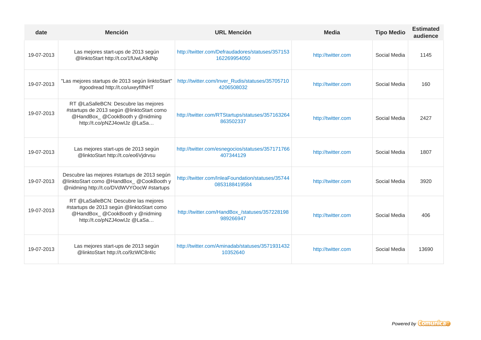| date       | <b>Mención</b>                                                                                                                                      | <b>URL Mención</b>                                                 | <b>Media</b>       | <b>Tipo Medio</b> | <b>Estimated</b><br>audience |
|------------|-----------------------------------------------------------------------------------------------------------------------------------------------------|--------------------------------------------------------------------|--------------------|-------------------|------------------------------|
| 19-07-2013 | Las mejores start-ups de 2013 según<br>@linktoStart http://t.co/1fUwLA9dNp                                                                          | http://twitter.com/Defraudadores/statuses/357153<br>162269954050   | http://twitter.com | Social Media      | 1145                         |
| 19-07-2013 | "Las mejores startups de 2013 según linktoStart"<br>#goodread http://t.co/uxeyflfNHT                                                                | http://twitter.com/Inver_Rudis/statuses/35705710<br>4206508032     | http://twitter.com | Social Media      | 160                          |
| 19-07-2013 | RT @LaSalleBCN: Descubre las mejores<br>#startups de 2013 según @linktoStart como<br>@HandBox_@CookBooth y @nidming<br>http://t.co/pNZJ4owlJz @LaSa | http://twitter.com/RTStartups/statuses/357163264<br>863502337      | http://twitter.com | Social Media      | 2427                         |
| 19-07-2013 | Las mejores start-ups de 2013 según<br>@linktoStart http://t.co/eo6Vjdrvsu                                                                          | http://twitter.com/esnegocios/statuses/357171766<br>407344129      | http://twitter.com | Social Media      | 1807                         |
| 19-07-2013 | Descubre las mejores #startups de 2013 según<br>@linktoStart como @HandBox_ @CookBooth y<br>@nidming http://t.co/DVdWVYOocW #startups               | http://twitter.com/InleaFoundation/statuses/35744<br>0853188419584 | http://twitter.com | Social Media      | 3920                         |
| 19-07-2013 | RT @LaSalleBCN: Descubre las mejores<br>#startups de 2013 según @linktoStart como<br>@HandBox_@CookBooth y @nidming<br>http://t.co/pNZJ4owlJz @LaSa | http://twitter.com/HandBox_/statuses/357228198<br>989266947        | http://twitter.com | Social Media      | 406                          |
| 19-07-2013 | Las mejores start-ups de 2013 según<br>@linktoStart http://t.co/9zWIC8r4Ic                                                                          | http://twitter.com/Aminadab/statuses/3571931432<br>10352640        | http://twitter.com | Social Media      | 13690                        |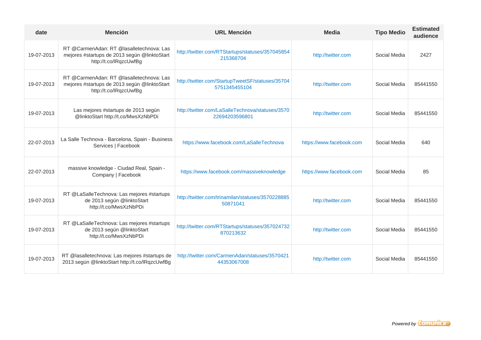| date       | <b>Mención</b>                                                                                                     | <b>URL Mención</b>                                                 | <b>Media</b>             | <b>Tipo Medio</b> | <b>Estimated</b><br>audience |
|------------|--------------------------------------------------------------------------------------------------------------------|--------------------------------------------------------------------|--------------------------|-------------------|------------------------------|
| 19-07-2013 | RT @CarmenAdan: RT @lasalletechnova: Las<br>mejores #startups de 2013 según @linktoStart<br>http://t.co/lRqzcUwfBg | http://twitter.com/RTStartups/statuses/357045854<br>215368704      | http://twitter.com       | Social Media      | 2427                         |
| 19-07-2013 | RT @CarmenAdan: RT @lasalletechnova: Las<br>mejores #startups de 2013 según @linktoStart<br>http://t.co/lRqzcUwfBg | http://twitter.com/StartupTweetSF/statuses/35704<br>5751345455104  | http://twitter.com       | Social Media      | 85441550                     |
| 19-07-2013 | Las mejores #startups de 2013 según<br>@linktoStart http://t.co/MwsXzNbPDi                                         | http://twitter.com/LaSalleTechnova/statuses/3570<br>22694203596801 | http://twitter.com       | Social Media      | 85441550                     |
| 22-07-2013 | La Salle Technova - Barcelona, Spain - Business<br>Services   Facebook                                             | https://www.facebook.com/LaSalleTechnova                           | https://www.facebook.com | Social Media      | 640                          |
| 22-07-2013 | massive knowledge - Ciudad Real, Spain -<br>Company   Facebook                                                     | https://www.facebook.com/massiveknowledge                          | https://www.facebook.com | Social Media      | 85                           |
| 19-07-2013 | RT @LaSalleTechnova: Las mejores #startups<br>de 2013 según @linktoStart<br>http://t.co/MwsXzNbPDi                 | http://twitter.com/trinamilan/statuses/3570228885<br>50871041      | http://twitter.com       | Social Media      | 85441550                     |
| 19-07-2013 | RT @LaSalleTechnova: Las mejores #startups<br>de 2013 según @linktoStart<br>http://t.co/MwsXzNbPDi                 | http://twitter.com/RTStartups/statuses/357024732<br>870213632      | http://twitter.com       | Social Media      | 85441550                     |
| 19-07-2013 | RT @lasalletechnova: Las mejores #startups de<br>2013 según @linktoStart http://t.co/lRqzcUwfBg                    | http://twitter.com/CarmenAdan/statuses/3570421<br>44353067008      | http://twitter.com       | Social Media      | 85441550                     |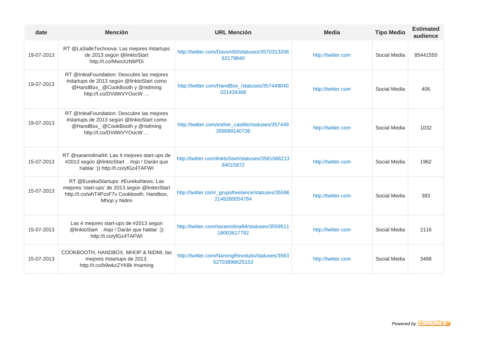| date       | <b>Mención</b>                                                                                                                                       | <b>URL Mención</b>                                                 | <b>Media</b>       | <b>Tipo Medio</b> | <b>Estimated</b><br>audience |
|------------|------------------------------------------------------------------------------------------------------------------------------------------------------|--------------------------------------------------------------------|--------------------|-------------------|------------------------------|
| 19-07-2013 | RT @LaSalleTechnova: Las mejores #startups<br>de 2013 según @linktoStart<br>http://t.co/MwsXzNbPDi                                                   | http://twitter.com/Davsm50/statuses/3570313206<br>62179840         | http://twitter.com | Social Media      | 85441550                     |
| 19-07-2013 | RT @InleaFoundation: Descubre las mejores<br>#startups de 2013 según @linktoStart como<br>@HandBox_@CookBooth y @nidming<br>http://t.co/DVdWVYOocW   | http://twitter.com/HandBox_/statuses/357449040<br>021434368        | http://twitter.com | Social Media      | 406                          |
| 19-07-2013 | RT @InleaFoundation: Descubre las mejores<br>#startups de 2013 según @linktoStart como<br>@HandBox_@CookBooth y @nidming<br>http://t.co/DVdWVYOocW   | http://twitter.com/esther_castillo/statuses/357449<br>269089140736 | http://twitter.com | Social Media      | 1032                         |
| 15-07-2013 | RT @saramolina94: Las 4 mejores start-ups de<br>#2013 según @linktoStart . #ojo ! Darán que<br>hablar :)) http://t.co/yfGz4TAFWI                     | http://twitter.com/linktoStart/statuses/3561066213<br>84015872     | http://twitter.com | Social Media      | 1962                         |
| 15-07-2013 | RT @EurekaStartups: #EurekaNews: Las<br>mejores 'start-ups' de 2013 según @linktoStart<br>http://t.co/whT4PzsF7v Cookbooth, Handbox,<br>Mhop y Nidmi | http://twitter.com/_grupofreelance/statuses/35596<br>2146280054784 | http://twitter.com | Social Media      | 383                          |
| 15-07-2013 | Las 4 mejores start-ups de #2013 según<br>@linktoStart . #ojo ! Darán que hablar :))<br>http://t.co/yfGz4TAFWI                                       | http://twitter.com/saramolina94/statuses/3559511<br>18003617792    | http://twitter.com | Social Media      | 2116                         |
| 15-07-2013 | COOKBOOTH, HANDBOX, MHOP & NIDMI, las<br>mejores #startups de 2013.<br>http://t.co/b9wkzZYK8k #naming                                                | http://twitter.com/NamingRevolutio/statuses/3563<br>52703896625153 | http://twitter.com | Social Media      | 3468                         |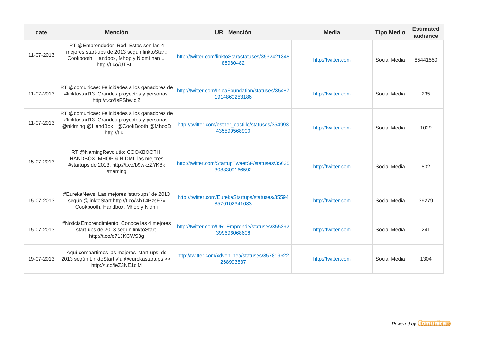| date       | <b>Mención</b>                                                                                                                                       | <b>URL Mención</b>                                                 | <b>Media</b>       | <b>Tipo Medio</b> | <b>Estimated</b><br>audience |
|------------|------------------------------------------------------------------------------------------------------------------------------------------------------|--------------------------------------------------------------------|--------------------|-------------------|------------------------------|
| 11-07-2013 | RT @Emprendedor_Red: Estas son las 4<br>mejores start-ups de 2013 según linktoStart:<br>Cookbooth, Handbox, Mhop y Nidmi han<br>http://t.co/UTBt     | http://twitter.com/linktoStart/statuses/3532421348<br>88980482     | http://twitter.com | Social Media      | 85441550                     |
| 11-07-2013 | RT @comunicae: Felicidades a los ganadores de<br>#linktostart13. Grandes proyectos y personas.<br>http://t.co/IsPSbwlcjZ                             | http://twitter.com/InleaFoundation/statuses/35487<br>1914860253186 | http://twitter.com | Social Media      | 235                          |
| 11-07-2013 | RT @comunicae: Felicidades a los ganadores de<br>#linktostart13. Grandes proyectos y personas.<br>@nidming @HandBox_ @CookBooth @MhopD<br>http://t.c | http://twitter.com/esther_castillo/statuses/354993<br>435599568900 | http://twitter.com | Social Media      | 1029                         |
| 15-07-2013 | RT @NamingRevolutio: COOKBOOTH,<br>HANDBOX, MHOP & NIDMI, las mejores<br>#startups de 2013. http://t.co/b9wkzZYK8k<br>#naming                        | http://twitter.com/StartupTweetSF/statuses/35635<br>3083309166592  | http://twitter.com | Social Media      | 832                          |
| 15-07-2013 | #EurekaNews: Las mejores 'start-ups' de 2013<br>según @linktoStart http://t.co/whT4PzsF7v<br>Cookbooth, Handbox, Mhop y Nidmi                        | http://twitter.com/EurekaStartups/statuses/35594<br>8570102341633  | http://twitter.com | Social Media      | 39279                        |
| 15-07-2013 | #NoticiaEmprendimiento. Conoce las 4 mejores<br>start-ups de 2013 según linktoStart.<br>http://t.co/e71JKCWS3g                                       | http://twitter.com/UR_Emprende/statuses/355392<br>399696068608     | http://twitter.com | Social Media      | 241                          |
| 19-07-2013 | Aquí compartimos las mejores 'start-ups' de<br>2013 según LinktoStart vía @eurekastartups >><br>http://t.co/leZ3NE1cjM                               | http://twitter.com/xdvenlinea/statuses/357819622<br>268993537      | http://twitter.com | Social Media      | 1304                         |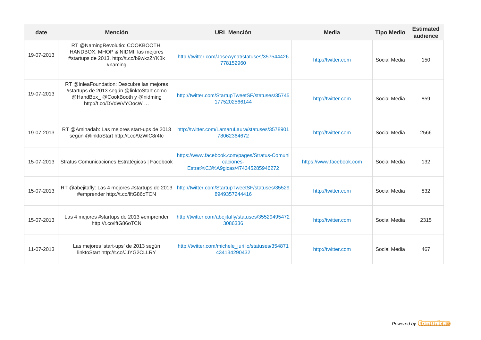| date       | <b>Mención</b>                                                                                                                                     | <b>URL Mención</b>                                                                              | <b>Media</b>             | <b>Tipo Medio</b> | <b>Estimated</b><br>audience |
|------------|----------------------------------------------------------------------------------------------------------------------------------------------------|-------------------------------------------------------------------------------------------------|--------------------------|-------------------|------------------------------|
| 19-07-2013 | RT @NamingRevolutio: COOKBOOTH,<br>HANDBOX, MHOP & NIDMI, las mejores<br>#startups de 2013. http://t.co/b9wkzZYK8k<br>#naming                      | http://twitter.com/JoseAynat/statuses/357544426<br>778152960                                    | http://twitter.com       | Social Media      | 150                          |
| 19-07-2013 | RT @InleaFoundation: Descubre las mejores<br>#startups de 2013 según @linktoStart como<br>@HandBox_@CookBooth y @nidming<br>http://t.co/DVdWVYOocW | http://twitter.com/StartupTweetSF/statuses/35745<br>1775202566144                               | http://twitter.com       | Social Media      | 859                          |
| 19-07-2013 | RT @Aminadab: Las mejores start-ups de 2013<br>según @linktoStart http://t.co/9zWIC8r4Ic                                                           | http://twitter.com/LamaruLaura/statuses/3578901<br>78062364672                                  | http://twitter.com       | Social Media      | 2566                         |
| 15-07-2013 | Stratus Comunicaciones Estratégicas   Facebook                                                                                                     | https://www.facebook.com/pages/Stratus-Comuni<br>caciones-<br>Estrat%C3%A9gicas/474345285946272 | https://www.facebook.com | Social Media      | 132                          |
| 15-07-2013 | RT @abejitafly: Las 4 mejores #startups de 2013<br>#emprender http://t.co/lftG86oTCN                                                               | http://twitter.com/StartupTweetSF/statuses/35529<br>8949357244416                               | http://twitter.com       | Social Media      | 832                          |
| 15-07-2013 | Las 4 mejores #startups de 2013 #emprender<br>http://t.co/lftG86oTCN                                                                               | http://twitter.com/abejitafly/statuses/35529495472<br>3086336                                   | http://twitter.com       | Social Media      | 2315                         |
| 11-07-2013 | Las mejores 'start-ups' de 2013 según<br>linktoStart http://t.co/JJYG2CLLRY                                                                        | http://twitter.com/michele_iurillo/statuses/354871<br>434134290432                              | http://twitter.com       | Social Media      | 467                          |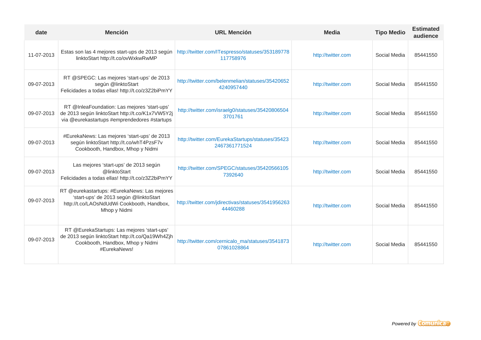| date       | <b>Mención</b>                                                                                                                                       | <b>URL Mención</b>                                                | <b>Media</b>       | <b>Tipo Medio</b> | <b>Estimated</b><br>audience |
|------------|------------------------------------------------------------------------------------------------------------------------------------------------------|-------------------------------------------------------------------|--------------------|-------------------|------------------------------|
| 11-07-2013 | Estas son las 4 mejores start-ups de 2013 según<br>linktoStart http://t.co/ovWxkwRwMP                                                                | http://twitter.com/ITespresso/statuses/353189778<br>117758976     | http://twitter.com | Social Media      | 85441550                     |
| 09-07-2013 | RT @SPEGC: Las mejores 'start-ups' de 2013<br>según @linktoStart<br>Felicidades a todas ellas! http://t.co/z3Z2biPmYY                                | http://twitter.com/belenmelian/statuses/35420652<br>4240957440    | http://twitter.com | Social Media      | 85441550                     |
| 09-07-2013 | RT @InleaFoundation: Las mejores 'start-ups'<br>de 2013 según linktoStart http://t.co/K1x7VW5Y2j<br>via @eurekastartups #emprendedores #startups     | http://twitter.com/israelg0/statuses/35420806504<br>3701761       | http://twitter.com | Social Media      | 85441550                     |
| 09-07-2013 | #EurekaNews: Las mejores 'start-ups' de 2013<br>según linktoStart http://t.co/whT4PzsF7v<br>Cookbooth, Handbox, Mhop y Nidmi                         | http://twitter.com/EurekaStartups/statuses/35423<br>2467361771524 | http://twitter.com | Social Media      | 85441550                     |
| 09-07-2013 | Las mejores 'start-ups' de 2013 según<br>@linktoStart<br>Felicidades a todas ellas! http://t.co/z3Z2biPmYY                                           | http://twitter.com/SPEGC/statuses/35420566105<br>7392640          | http://twitter.com | Social Media      | 85441550                     |
| 09-07-2013 | RT @eurekastartups: #EurekaNews: Las mejores<br>'start-ups' de 2013 según @linktoStart<br>http://t.co/LAOsNdUdWi Cookbooth, Handbox,<br>Mhop y Nidmi | http://twitter.com/jdirectivas/statuses/3541956263<br>44460288    | http://twitter.com | Social Media      | 85441550                     |
| 09-07-2013 | RT @EurekaStartups: Las mejores 'start-ups'<br>de 2013 según linktoStart http://t.co/Qa19Wh4Zjh<br>Cookbooth, Handbox, Mhop y Nidmi<br>#EurekaNews!  | http://twitter.com/cernicalo_ma/statuses/3541873<br>07861028864   | http://twitter.com | Social Media      | 85441550                     |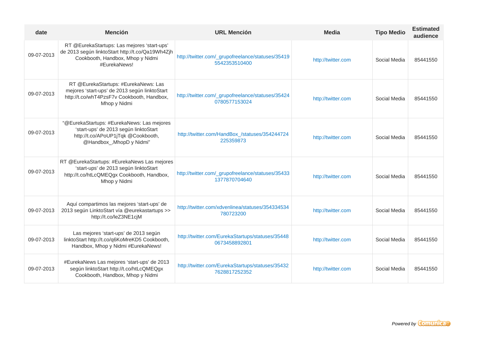| date       | <b>Mención</b>                                                                                                                                         | <b>URL Mención</b>                                                 | <b>Media</b>       | <b>Tipo Medio</b> | <b>Estimated</b><br>audience |
|------------|--------------------------------------------------------------------------------------------------------------------------------------------------------|--------------------------------------------------------------------|--------------------|-------------------|------------------------------|
| 09-07-2013 | RT @EurekaStartups: Las mejores 'start-ups'<br>de 2013 según linktoStart http://t.co/Qa19Wh4Zjh<br>Cookbooth, Handbox, Mhop y Nidmi<br>#EurekaNews!    | http://twitter.com/_grupofreelance/statuses/35419<br>5542353510400 | http://twitter.com | Social Media      | 85441550                     |
| 09-07-2013 | RT @EurekaStartups: #EurekaNews: Las<br>mejores 'start-ups' de 2013 según linktoStart<br>http://t.co/whT4PzsF7v Cookbooth, Handbox,<br>Mhop y Nidmi    | http://twitter.com/_grupofreelance/statuses/35424<br>0780577153024 | http://twitter.com | Social Media      | 85441550                     |
| 09-07-2013 | "@EurekaStartups: #EurekaNews: Las mejores<br>'start-ups' de 2013 según linktoStart<br>http://t.co/APoUP1jTqk @Cookbooth,<br>@Handbox_, MhopD y Nidmi" | http://twitter.com/HandBox_/statuses/354244724<br>225359873        | http://twitter.com | Social Media      | 85441550                     |
| 09-07-2013 | RT @EurekaStartups: #EurekaNews Las mejores<br>'start-ups' de 2013 según linktoStart<br>http://t.co/htLcQMEQgx Cookbooth, Handbox,<br>Mhop y Nidmi     | http://twitter.com/_grupofreelance/statuses/35433<br>1377870704640 | http://twitter.com | Social Media      | 85441550                     |
| 09-07-2013 | Aquí compartimos las mejores 'start-ups' de<br>2013 según LinktoStart vía @eurekastartups >><br>http://t.co/leZ3NE1cjM                                 | http://twitter.com/xdvenlinea/statuses/354334534<br>780723200      | http://twitter.com | Social Media      | 85441550                     |
| 09-07-2013 | Las mejores 'start-ups' de 2013 según<br>linktoStart http://t.co/q6KoMreKD5 Cookbooth,<br>Handbox, Mhop y Nidmi #EurekaNews!                           | http://twitter.com/EurekaStartups/statuses/35448<br>0673458892801  | http://twitter.com | Social Media      | 85441550                     |
| 09-07-2013 | #EurekaNews Las mejores 'start-ups' de 2013<br>según linktoStart http://t.co/htLcQMEQgx<br>Cookbooth, Handbox, Mhop y Nidmi                            | http://twitter.com/EurekaStartups/statuses/35432<br>7628817252352  | http://twitter.com | Social Media      | 85441550                     |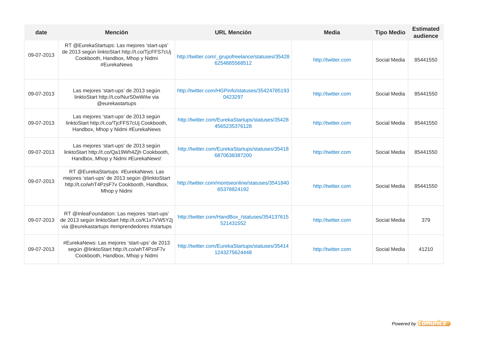| date       | <b>Mención</b>                                                                                                                                       | <b>URL Mención</b>                                                 | <b>Media</b>       | <b>Tipo Medio</b> | <b>Estimated</b><br>audience |
|------------|------------------------------------------------------------------------------------------------------------------------------------------------------|--------------------------------------------------------------------|--------------------|-------------------|------------------------------|
| 09-07-2013 | RT @EurekaStartups: Las mejores 'start-ups'<br>de 2013 según linktoStart http://t.co/TjcFFS7cUj<br>Cookbooth, Handbox, Mhop y Nidmi<br>#EurekaNews   | http://twitter.com/_grupofreelance/statuses/35428<br>6254885568512 | http://twitter.com | Social Media      | 85441550                     |
| 09-07-2013 | Las mejores 'start-ups' de 2013 según<br>linktoStart http://t.co/NurS0wWilw via<br>@eurekastartups                                                   | http://twitter.com/HGPinfo/statuses/35424785193<br>0423297         | http://twitter.com | Social Media      | 85441550                     |
| 09-07-2013 | Las mejores 'start-ups' de 2013 según<br>linktoStart http://t.co/TjcFFS7cUj Cookbooth,<br>Handbox, Mhop y Nidmi #EurekaNews                          | http://twitter.com/EurekaStartups/statuses/35428<br>4565235376128  | http://twitter.com | Social Media      | 85441550                     |
| 09-07-2013 | Las mejores 'start-ups' de 2013 según<br>linktoStart http://t.co/Qa19Wh4Zjh Cookbooth,<br>Handbox, Mhop y Nidmi #EurekaNews!                         | http://twitter.com/EurekaStartups/statuses/35418<br>6870638387200  | http://twitter.com | Social Media      | 85441550                     |
| 09-07-2013 | RT @EurekaStartups: #EurekaNews: Las<br>mejores 'start-ups' de 2013 según @linktoStart<br>http://t.co/whT4PzsF7v Cookbooth, Handbox,<br>Mhop y Nidmi | http://twitter.com/montseonline/statuses/3541840<br>65378824192    | http://twitter.com | Social Media      | 85441550                     |
| 09-07-2013 | RT @InleaFoundation: Las mejores 'start-ups'<br>de 2013 según linktoStart http://t.co/K1x7VW5Y2j<br>via @eurekastartups #emprendedores #startups     | http://twitter.com/HandBox_/statuses/354137615<br>521431552        | http://twitter.com | Social Media      | 379                          |
| 09-07-2013 | #EurekaNews: Las mejores 'start-ups' de 2013<br>según @linktoStart http://t.co/whT4PzsF7v<br>Cookbooth, Handbox, Mhop y Nidmi                        | http://twitter.com/EurekaStartups/statuses/35414<br>1243275624448  | http://twitter.com | Social Media      | 41210                        |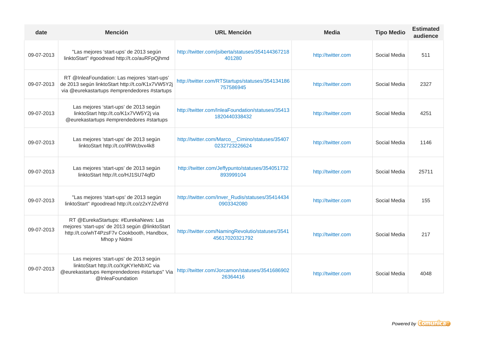| date       | <b>Mención</b>                                                                                                                                       | <b>URL Mención</b>                                                 | <b>Media</b>       | <b>Tipo Medio</b> | <b>Estimated</b><br>audience |
|------------|------------------------------------------------------------------------------------------------------------------------------------------------------|--------------------------------------------------------------------|--------------------|-------------------|------------------------------|
| 09-07-2013 | "Las mejores 'start-ups' de 2013 según<br>linktoStart" #goodread http://t.co/auRFpQjhmd                                                              | http://twitter.com/jsiberta/statuses/354144367218<br>401280        | http://twitter.com | Social Media      | 511                          |
| 09-07-2013 | RT @InleaFoundation: Las mejores 'start-ups'<br>de 2013 según linktoStart http://t.co/K1x7VW5Y2j<br>via @eurekastartups #emprendedores #startups     | http://twitter.com/RTStartups/statuses/354134186<br>757586945      | http://twitter.com | Social Media      | 2327                         |
| 09-07-2013 | Las mejores 'start-ups' de 2013 según<br>linktoStart http://t.co/K1x7VW5Y2j via<br>@eurekastartups #emprendedores #startups                          | http://twitter.com/InleaFoundation/statuses/35413<br>1820440338432 | http://twitter.com | Social Media      | 4251                         |
| 09-07-2013 | Las mejores 'start-ups' de 2013 según<br>linktoStart http://t.co/IRWcbvx4k8                                                                          | http://twitter.com/Marco_Cimino/statuses/35407<br>0232723226624    | http://twitter.com | Social Media      | 1146                         |
| 09-07-2013 | Las mejores 'start-ups' de 2013 según<br>linktoStart http://t.co/HJ1SU74qfD                                                                          | http://twitter.com/Jeffypunto/statuses/354051732<br>893999104      | http://twitter.com | Social Media      | 25711                        |
| 09-07-2013 | "Las mejores 'start-ups' de 2013 según<br>linktoStart" #goodread http://t.co/z2xYJ2v8Yd                                                              | http://twitter.com/Inver_Rudis/statuses/35414434<br>0903342080     | http://twitter.com | Social Media      | 155                          |
| 09-07-2013 | RT @EurekaStartups: #EurekaNews: Las<br>mejores 'start-ups' de 2013 según @linktoStart<br>http://t.co/whT4PzsF7v Cookbooth, Handbox,<br>Mhop y Nidmi | http://twitter.com/NamingRevolutio/statuses/3541<br>45617020321792 | http://twitter.com | Social Media      | 217                          |
| 09-07-2013 | Las mejores 'start-ups' de 2013 según<br>linktoStart http://t.co/XgKYleNbXC via<br>@eurekastartups #emprendedores #startups" Via<br>@InleaFoundation | http://twitter.com/Jorcamon/statuses/3541686902<br>26364416        | http://twitter.com | Social Media      | 4048                         |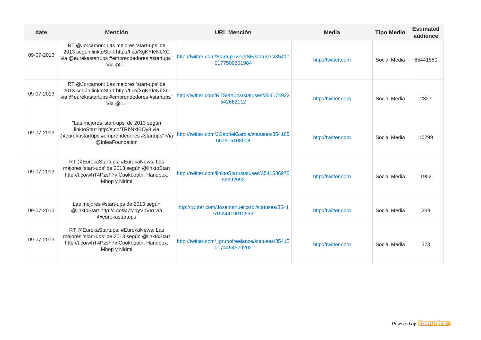| date       | <b>Mención</b>                                                                                                                                         | <b>URL Mención</b>                                                 | <b>Media</b>       | <b>Tipo Medio</b> | <b>Estimated</b><br>audience |
|------------|--------------------------------------------------------------------------------------------------------------------------------------------------------|--------------------------------------------------------------------|--------------------|-------------------|------------------------------|
| 09-07-2013 | RT @Jorcamon: Las mejores 'start-ups' de<br>2013 según linktoStart http://t.co/XgKYIeNbXC<br>via @eurekastartups #emprendedores #startups"<br>Via $@l$ | http://twitter.com/StartupTweetSF/statuses/35417<br>0177509801984  | http://twitter.com | Social Media      | 85441550                     |
| 09-07-2013 | RT @Jorcamon: Las mejores 'start-ups' de<br>2013 según linktoStart http://t.co/XgKYIeNbXC<br>via @eurekastartups #emprendedores #startups"<br>Via $@l$ | http://twitter.com/RTStartups/statuses/354174922<br>542682112      | http://twitter.com | Social Media      | 2327                         |
| 09-07-2013 | "Las mejores 'start-ups' de 2013 según<br>linktoStart http://t.co/TRbNxfBOy8 via<br>@eurekastartups #emprendedores #startups" Via<br>@InleaFoundation  | http://twitter.com/JGabrielGarcia/statuses/354165<br>667815108608  | http://twitter.com | Social Media      | 10299                        |
| 09-07-2013 | RT @EurekaStartups: #EurekaNews: Las<br>mejores 'start-ups' de 2013 según @linktoStart<br>http://t.co/whT4PzsF7v Cookbooth, Handbox,<br>Mhop y Nidmi   | http://twitter.com/linktoStart/statuses/3541536975<br>56692992     | http://twitter.com | Social Media      | 1952                         |
| 09-07-2013 | Las mejores #start-ups de 2013 según<br>@linktoStart http://t.co/M7MdyVpVto vía<br>@eurekastartups                                                     | http://twitter.com/Josemanuelcarol/statuses/3541<br>51534419910656 | http://twitter.com | Social Media      | 239                          |
| 09-07-2013 | RT @EurekaStartups: #EurekaNews: Las<br>mejores 'start-ups' de 2013 según @linktoStart<br>http://t.co/whT4PzsF7v Cookbooth, Handbox,<br>Mhop y Nidmi   | http://twitter.com/_grupofreelance/statuses/35415<br>0174454579202 | http://twitter.com | Social Media      | 373                          |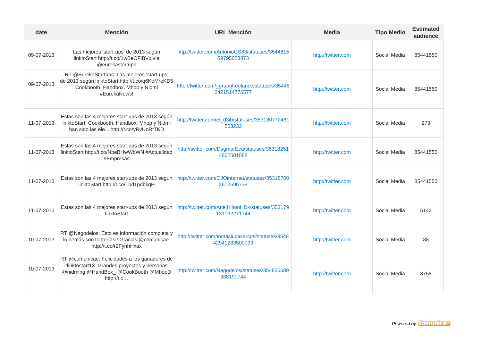| date       | <b>Mención</b>                                                                                                                                       | <b>URL Mención</b>                                                 | <b>Media</b>       | <b>Tipo Medio</b> | <b>Estimated</b><br>audience |
|------------|------------------------------------------------------------------------------------------------------------------------------------------------------|--------------------------------------------------------------------|--------------------|-------------------|------------------------------|
| 09-07-2013 | Las mejores 'start-ups' de 2013 según<br>linktoStart http://t.co/1wBeOFIBVx vía<br>@eurekastartups                                                   | http://twitter.com/AntonioGS83/statuses/3544815<br>59795023873     | http://twitter.com | Social Media      | 85441550                     |
| 09-07-2013 | RT @EurekaStartups: Las mejores 'start-ups'<br>de 2013 según linktoStart http://t.co/q6KoMreKD5<br>Cookbooth, Handbox, Mhop y Nidmi<br>#EurekaNews!  | http://twitter.com/_grupofreelance/statuses/35448<br>2421514776577 | http://twitter.com | Social Media      | 85441550                     |
| 11-07-2013 | Estas son las 4 mejores start-ups de 2013 según<br>linktoStart: Cookbooth, Handbox, Mhop y Nidmi<br>han sido las ele http://t.co/yRvUoRtTKD          | http://twitter.com/el_d3ib/statuses/353180772481<br>503232         | http://twitter.com | Social Media      | 273                          |
| 11-07-2013 | Estas son las 4 mejores start-ups de 2013 según<br>linktoStart http://t.co/NbeBHwWbWN #Actualidad<br>#Empresas                                       | http://twitter.com/DagmarEcu/statuses/35318251<br>4862501888       | http://twitter.com | Social Media      | 85441550                     |
| 11-07-2013 | Estas son las 4 mejores start-ups de 2013 según<br>linktoStart http://t.co/Tbd1pdbkqH                                                                | http://twitter.com/OJOinternet/statuses/35318700<br>2612596738     | http://twitter.com | Social Media      | 85441550                     |
| 11-07-2013 | Estas son las 4 mejores start-ups de 2013 según<br>linktoStart                                                                                       | http://twitter.com/ArielHiltonHDx/statuses/353179<br>131162271744  | http://twitter.com | Social Media      | 5142                         |
| 10-07-2013 | RT @Nagodelos: Esto es información completa y<br>lo demás son tonterías!! Gracias @comunicae<br>http://t.co/r2FynhHxax                               | http://twitter.com/tomaslucasarcos/statuses/3548<br>42941283500033 | http://twitter.com | Social Media      | 88                           |
| 10-07-2013 | RT @comunicae: Felicidades a los ganadores de<br>#linktostart13. Grandes proyectos y personas.<br>@nidming @HandBox_ @CookBooth @MhopD<br>http://t.c | http://twitter.com/Nagodelos/statuses/354836689<br>388191744       | http://twitter.com | Social Media      | 3758                         |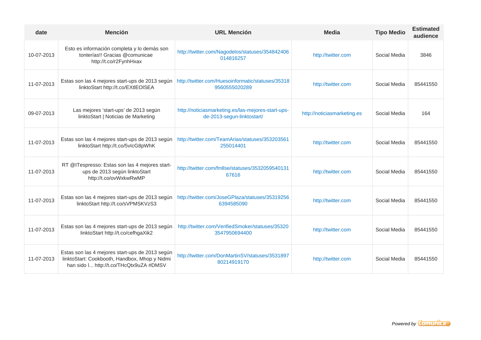| date       | <b>Mención</b>                                                                                                                              | <b>URL Mención</b>                                                               | <b>Media</b>                | <b>Tipo Medio</b> | <b>Estimated</b><br>audience |
|------------|---------------------------------------------------------------------------------------------------------------------------------------------|----------------------------------------------------------------------------------|-----------------------------|-------------------|------------------------------|
| 10-07-2013 | Esto es información completa y lo demás son<br>tonterías!! Gracias @comunicae<br>http://t.co/r2FynhHxax                                     | http://twitter.com/Nagodelos/statuses/354842406<br>014816257                     | http://twitter.com          | Social Media      | 3846                         |
| 11-07-2013 | Estas son las 4 mejores start-ups de 2013 según<br>linktoStart http://t.co/EXtlEOISEA                                                       | http://twitter.com/Huesoinformatic/statuses/35318<br>9560555020289               | http://twitter.com          | Social Media      | 85441550                     |
| 09-07-2013 | Las mejores 'start-ups' de 2013 según<br>linktoStart   Noticias de Marketing                                                                | http://noticiasmarketing.es/las-mejores-start-ups-<br>de-2013-segun-linktostart/ | http://noticiasmarketing.es | Social Media      | 164                          |
| 11-07-2013 | Estas son las 4 mejores start-ups de 2013 según<br>linktoStart http://t.co/5vlcG8pWhK                                                       | http://twitter.com/TeamArias/statuses/353203561<br>255014401                     | http://twitter.com          | Social Media      | 85441550                     |
| 11-07-2013 | RT @ITespresso: Estas son las 4 mejores start-<br>ups de 2013 según linktoStart<br>http://t.co/ovWxkwRwMP                                   | http://twitter.com/fmllse/statuses/3532059540131<br>67616                        | http://twitter.com          | Social Media      | 85441550                     |
| 11-07-2013 | Estas son las 4 mejores start-ups de 2013 según<br>linktoStart http://t.co/sVPMSKVzS3                                                       | http://twitter.com/JoseGPlaza/statuses/35319256<br>6394585090                    | http://twitter.com          | Social Media      | 85441550                     |
| 11-07-2013 | Estas son las 4 mejores start-ups de 2013 según<br>linktoStart http://t.co/cefhgaXik2                                                       | http://twitter.com/VerifiedSmoker/statuses/35320<br>3547950694400                | http://twitter.com          | Social Media      | 85441550                     |
| 11-07-2013 | Estas son las 4 mejores start-ups de 2013 según<br>linktoStart: Cookbooth, Handbox, Mhop y Nidmi<br>han sido I http://t.co/THcQtx9uZA #DMSV | http://twitter.com/DonMartinSV/statuses/3531897<br>80214919170                   | http://twitter.com          | Social Media      | 85441550                     |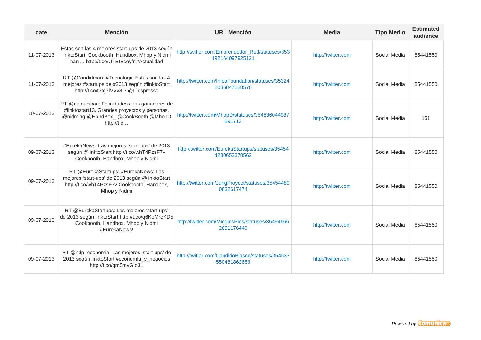| date       | <b>Mención</b>                                                                                                                                       | <b>URL Mención</b>                                                 | Media              | <b>Tipo Medio</b> | <b>Estimated</b><br>audience |
|------------|------------------------------------------------------------------------------------------------------------------------------------------------------|--------------------------------------------------------------------|--------------------|-------------------|------------------------------|
| 11-07-2013 | Estas son las 4 mejores start-ups de 2013 según<br>linktoStart: Cookbooth, Handbox, Mhop y Nidmi<br>han  http://t.co/UTBtEceyfr #Actualidad          | http://twitter.com/Emprendedor_Red/statuses/353<br>192164097925121 | http://twitter.com | Social Media      | 85441550                     |
| 11-07-2013 | RT @Candidman: #Tecnologia Estas son las 4<br>mejores #startups de #2013 según #linktoStart<br>http://t.co/t3tg7lVVv8 ? @ITespresso                  | http://twitter.com/InleaFoundation/statuses/35324<br>2036847128576 | http://twitter.com | Social Media      | 85441550                     |
| 10-07-2013 | RT @comunicae: Felicidades a los ganadores de<br>#linktostart13. Grandes proyectos y personas.<br>@nidming @HandBox_ @CookBooth @MhopD<br>http://t.c | http://twitter.com/MhopD/statuses/354836044987<br>891712           | http://twitter.com | Social Media      | 151                          |
| 09-07-2013 | #EurekaNews: Las mejores 'start-ups' de 2013<br>según @linktoStart http://t.co/whT4PzsF7v<br>Cookbooth, Handbox, Mhop y Nidmi                        | http://twitter.com/EurekaStartups/statuses/35454<br>4230653378562  | http://twitter.com | Social Media      | 85441550                     |
| 09-07-2013 | RT @EurekaStartups: #EurekaNews: Las<br>mejores 'start-ups' de 2013 según @linktoStart<br>http://t.co/whT4PzsF7v Cookbooth, Handbox,<br>Mhop y Nidmi | http://twitter.com/JungProyect/statuses/35454489<br>0832617474     | http://twitter.com | Social Media      | 85441550                     |
| 09-07-2013 | RT @EurekaStartups: Las mejores 'start-ups'<br>de 2013 según linktoStart http://t.co/q6KoMreKD5<br>Cookbooth, Handbox, Mhop y Nidmi<br>#EurekaNews!  | http://twitter.com/MigginsPies/statuses/35454666<br>2691176449     | http://twitter.com | Social Media      | 85441550                     |
| 09-07-2013 | RT @ndp_economia: Las mejores 'start-ups' de<br>2013 según linktoStart #economía_y_negocios<br>http://t.co/qm5mvGlo3L                                | http://twitter.com/CandidoBlasco/statuses/354537<br>550481862656   | http://twitter.com | Social Media      | 85441550                     |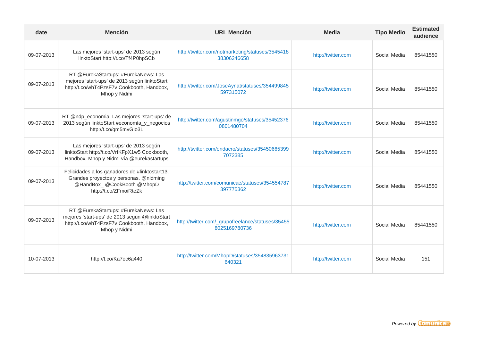| date       | <b>Mención</b>                                                                                                                                       | <b>URL Mención</b>                                                 | <b>Media</b>       | <b>Tipo Medio</b> | <b>Estimated</b><br>audience |
|------------|------------------------------------------------------------------------------------------------------------------------------------------------------|--------------------------------------------------------------------|--------------------|-------------------|------------------------------|
| 09-07-2013 | Las mejores 'start-ups' de 2013 según<br>linktoStart http://t.co/Tf4P0hpSCb                                                                          | http://twitter.com/notmarketing/statuses/3545418<br>38306246658    | http://twitter.com | Social Media      | 85441550                     |
| 09-07-2013 | RT @EurekaStartups: #EurekaNews: Las<br>mejores 'start-ups' de 2013 según linktoStart<br>http://t.co/whT4PzsF7v Cookbooth, Handbox,<br>Mhop y Nidmi  | http://twitter.com/JoseAynat/statuses/354499845<br>597315072       | http://twitter.com | Social Media      | 85441550                     |
| 09-07-2013 | RT @ndp_economia: Las mejores 'start-ups' de<br>2013 según linktoStart #economía_y_negocios<br>http://t.co/qm5mvGlo3L                                | http://twitter.com/agustinmgo/statuses/35452376<br>0801480704      | http://twitter.com | Social Media      | 85441550                     |
| 09-07-2013 | Las mejores 'start-ups' de 2013 según<br>linktoStart http://t.co/VrfKFpX1w5 Cookbooth,<br>Handbox, Mhop y Nidmi vía @eurekastartups                  | http://twitter.com/ondacro/statuses/35450665399<br>7072385         | http://twitter.com | Social Media      | 85441550                     |
| 09-07-2013 | Felicidades a los ganadores de #linktostart13.<br>Grandes proyectos y personas. @nidming<br>@HandBox_@CookBooth @MhopD<br>http://t.co/ZFmoiRteZk     | http://twitter.com/comunicae/statuses/354554787<br>397775362       | http://twitter.com | Social Media      | 85441550                     |
| 09-07-2013 | RT @EurekaStartups: #EurekaNews: Las<br>mejores 'start-ups' de 2013 según @linktoStart<br>http://t.co/whT4PzsF7v Cookbooth, Handbox,<br>Mhop y Nidmi | http://twitter.com/_grupofreelance/statuses/35455<br>8025169780736 | http://twitter.com | Social Media      | 85441550                     |
| 10-07-2013 | http://t.co/Ka7oc6a440                                                                                                                               | http://twitter.com/MhopD/statuses/354835963731<br>640321           | http://twitter.com | Social Media      | 151                          |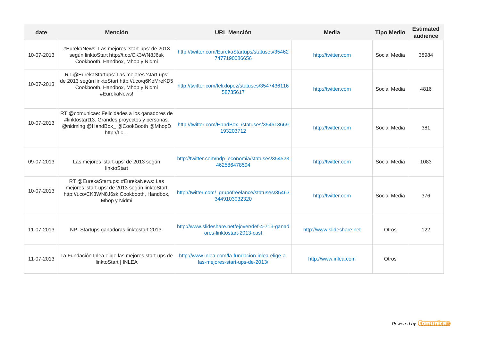| date       | <b>Mención</b>                                                                                                                                       | <b>URL Mención</b>                                                                 | <b>Media</b>              | <b>Tipo Medio</b> | <b>Estimated</b><br>audience |
|------------|------------------------------------------------------------------------------------------------------------------------------------------------------|------------------------------------------------------------------------------------|---------------------------|-------------------|------------------------------|
| 10-07-2013 | #EurekaNews: Las mejores 'start-ups' de 2013<br>según linktoStart http://t.co/CK3WN8J6sk<br>Cookbooth, Handbox, Mhop y Nidmi                         | http://twitter.com/EurekaStartups/statuses/35462<br>7477190086656                  | http://twitter.com        | Social Media      | 38984                        |
| 10-07-2013 | RT @EurekaStartups: Las mejores 'start-ups'<br>de 2013 según linktoStart http://t.co/q6KoMreKD5<br>Cookbooth, Handbox, Mhop y Nidmi<br>#EurekaNews!  | http://twitter.com/felixlopez/statuses/3547436116<br>58735617                      | http://twitter.com        | Social Media      | 4816                         |
| 10-07-2013 | RT @comunicae: Felicidades a los ganadores de<br>#linktostart13. Grandes proyectos y personas.<br>@nidming @HandBox_ @CookBooth @MhopD<br>http://t.c | http://twitter.com/HandBox_/statuses/354613669<br>193203712                        | http://twitter.com        | Social Media      | 381                          |
| 09-07-2013 | Las mejores 'start-ups' de 2013 según<br>linktoStart                                                                                                 | http://twitter.com/ndp_economia/statuses/354523<br>462586478594                    | http://twitter.com        | Social Media      | 1083                         |
| 10-07-2013 | RT @EurekaStartups: #EurekaNews: Las<br>mejores 'start-ups' de 2013 según linktoStart<br>http://t.co/CK3WN8J6sk Cookbooth, Handbox,<br>Mhop y Nidmi  | http://twitter.com/_grupofreelance/statuses/35463<br>3449103032320                 | http://twitter.com        | Social Media      | 376                          |
| 11-07-2013 | NP- Startups ganadoras linktostart 2013-                                                                                                             | http://www.slideshare.net/ejover/def-4-713-ganad<br>ores-linktostart-2013-cast     | http://www.slideshare.net | Otros             | 122                          |
| 11-07-2013 | La Fundación Inlea elige las mejores start-ups de<br>linktoStart   INLEA                                                                             | http://www.inlea.com/la-fundacion-inlea-elige-a-<br>las-mejores-start-ups-de-2013/ | http://www.inlea.com      | <b>Otros</b>      |                              |